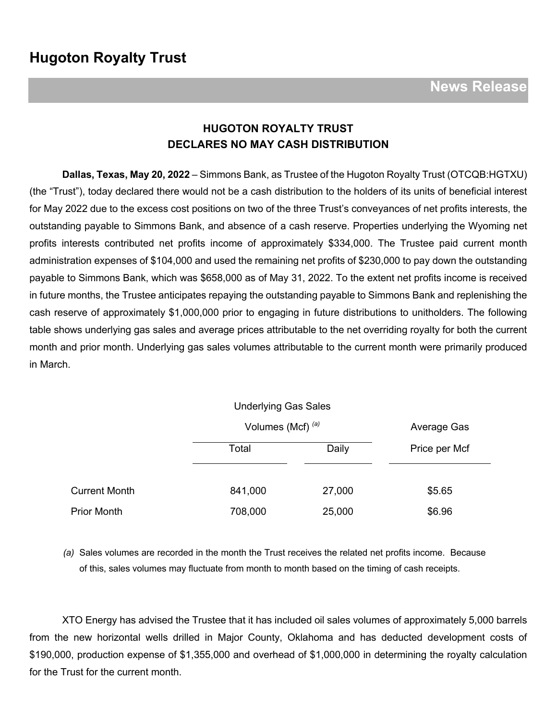### **HUGOTON ROYALTY TRUST DECLARES NO MAY CASH DISTRIBUTION**

**Dallas, Texas, May 20, 2022** – Simmons Bank, as Trustee of the Hugoton Royalty Trust (OTCQB:HGTXU) (the "Trust"), today declared there would not be a cash distribution to the holders of its units of beneficial interest for May 2022 due to the excess cost positions on two of the three Trust's conveyances of net profits interests, the outstanding payable to Simmons Bank, and absence of a cash reserve. Properties underlying the Wyoming net profits interests contributed net profits income of approximately \$334,000. The Trustee paid current month administration expenses of \$104,000 and used the remaining net profits of \$230,000 to pay down the outstanding payable to Simmons Bank, which was \$658,000 as of May 31, 2022. To the extent net profits income is received in future months, the Trustee anticipates repaying the outstanding payable to Simmons Bank and replenishing the cash reserve of approximately \$1,000,000 prior to engaging in future distributions to unitholders. The following table shows underlying gas sales and average prices attributable to the net overriding royalty for both the current month and prior month. Underlying gas sales volumes attributable to the current month were primarily produced in March.

|                      | <b>Underlying Gas Sales</b>  |        |               |
|----------------------|------------------------------|--------|---------------|
|                      | Volumes (Mcf) <sup>(a)</sup> |        | Average Gas   |
|                      | Total                        | Daily  | Price per Mcf |
|                      |                              |        |               |
| <b>Current Month</b> | 841,000                      | 27,000 | \$5.65        |
| <b>Prior Month</b>   | 708,000                      | 25,000 | \$6.96        |

*(a)* Sales volumes are recorded in the month the Trust receives the related net profits income. Because of this, sales volumes may fluctuate from month to month based on the timing of cash receipts.

XTO Energy has advised the Trustee that it has included oil sales volumes of approximately 5,000 barrels from the new horizontal wells drilled in Major County, Oklahoma and has deducted development costs of \$190,000, production expense of \$1,355,000 and overhead of \$1,000,000 in determining the royalty calculation for the Trust for the current month.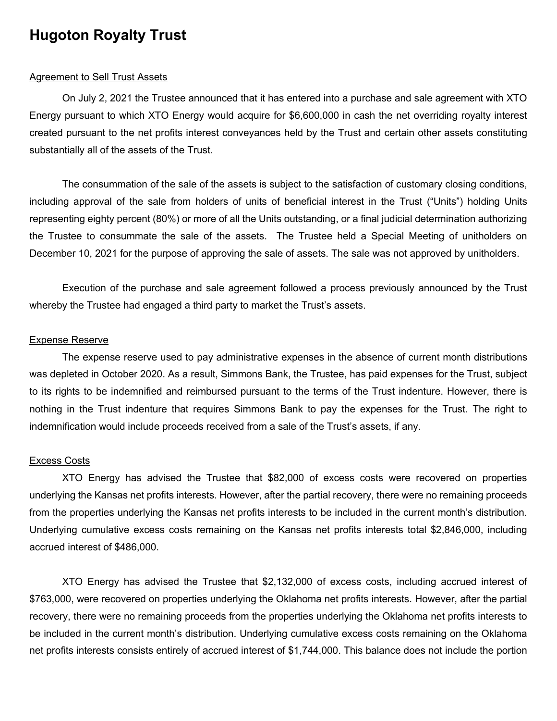# **Hugoton Royalty Trust**

#### **Agreement to Sell Trust Assets**

On July 2, 2021 the Trustee announced that it has entered into a purchase and sale agreement with XTO Energy pursuant to which XTO Energy would acquire for \$6,600,000 in cash the net overriding royalty interest created pursuant to the net profits interest conveyances held by the Trust and certain other assets constituting substantially all of the assets of the Trust.

The consummation of the sale of the assets is subject to the satisfaction of customary closing conditions, including approval of the sale from holders of units of beneficial interest in the Trust ("Units") holding Units representing eighty percent (80%) or more of all the Units outstanding, or a final judicial determination authorizing the Trustee to consummate the sale of the assets. The Trustee held a Special Meeting of unitholders on December 10, 2021 for the purpose of approving the sale of assets. The sale was not approved by unitholders.

Execution of the purchase and sale agreement followed a process previously announced by the Trust whereby the Trustee had engaged a third party to market the Trust's assets.

#### Expense Reserve

The expense reserve used to pay administrative expenses in the absence of current month distributions was depleted in October 2020. As a result, Simmons Bank, the Trustee, has paid expenses for the Trust, subject to its rights to be indemnified and reimbursed pursuant to the terms of the Trust indenture. However, there is nothing in the Trust indenture that requires Simmons Bank to pay the expenses for the Trust. The right to indemnification would include proceeds received from a sale of the Trust's assets, if any.

#### Excess Costs

XTO Energy has advised the Trustee that \$82,000 of excess costs were recovered on properties underlying the Kansas net profits interests. However, after the partial recovery, there were no remaining proceeds from the properties underlying the Kansas net profits interests to be included in the current month's distribution. Underlying cumulative excess costs remaining on the Kansas net profits interests total \$2,846,000, including accrued interest of \$486,000.

XTO Energy has advised the Trustee that \$2,132,000 of excess costs, including accrued interest of \$763,000, were recovered on properties underlying the Oklahoma net profits interests. However, after the partial recovery, there were no remaining proceeds from the properties underlying the Oklahoma net profits interests to be included in the current month's distribution. Underlying cumulative excess costs remaining on the Oklahoma net profits interests consists entirely of accrued interest of \$1,744,000. This balance does not include the portion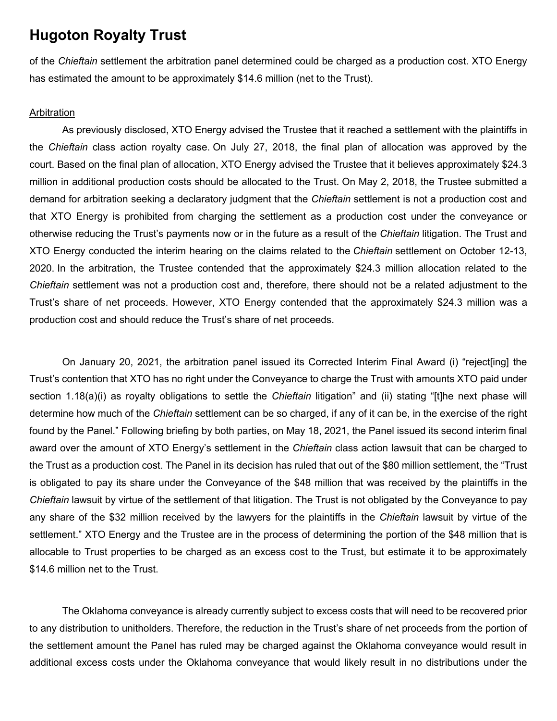## **Hugoton Royalty Trust**

of the *Chieftain* settlement the arbitration panel determined could be charged as a production cost. XTO Energy has estimated the amount to be approximately \$14.6 million (net to the Trust).

#### Arbitration

As previously disclosed, XTO Energy advised the Trustee that it reached a settlement with the plaintiffs in the *Chieftain* class action royalty case. On July 27, 2018, the final plan of allocation was approved by the court. Based on the final plan of allocation, XTO Energy advised the Trustee that it believes approximately \$24.3 million in additional production costs should be allocated to the Trust. On May 2, 2018, the Trustee submitted a demand for arbitration seeking a declaratory judgment that the *Chieftain* settlement is not a production cost and that XTO Energy is prohibited from charging the settlement as a production cost under the conveyance or otherwise reducing the Trust's payments now or in the future as a result of the *Chieftain* litigation. The Trust and XTO Energy conducted the interim hearing on the claims related to the *Chieftain* settlement on October 12-13, 2020. In the arbitration, the Trustee contended that the approximately \$24.3 million allocation related to the *Chieftain* settlement was not a production cost and, therefore, there should not be a related adjustment to the Trust's share of net proceeds. However, XTO Energy contended that the approximately \$24.3 million was a production cost and should reduce the Trust's share of net proceeds.

On January 20, 2021, the arbitration panel issued its Corrected Interim Final Award (i) "reject[ing] the Trust's contention that XTO has no right under the Conveyance to charge the Trust with amounts XTO paid under section 1.18(a)(i) as royalty obligations to settle the *Chieftain* litigation" and (ii) stating "[t]he next phase will determine how much of the *Chieftain* settlement can be so charged, if any of it can be, in the exercise of the right found by the Panel." Following briefing by both parties, on May 18, 2021, the Panel issued its second interim final award over the amount of XTO Energy's settlement in the *Chieftain* class action lawsuit that can be charged to the Trust as a production cost. The Panel in its decision has ruled that out of the \$80 million settlement, the "Trust is obligated to pay its share under the Conveyance of the \$48 million that was received by the plaintiffs in the *Chieftain* lawsuit by virtue of the settlement of that litigation. The Trust is not obligated by the Conveyance to pay any share of the \$32 million received by the lawyers for the plaintiffs in the *Chieftain* lawsuit by virtue of the settlement." XTO Energy and the Trustee are in the process of determining the portion of the \$48 million that is allocable to Trust properties to be charged as an excess cost to the Trust, but estimate it to be approximately \$14.6 million net to the Trust.

The Oklahoma conveyance is already currently subject to excess costs that will need to be recovered prior to any distribution to unitholders. Therefore, the reduction in the Trust's share of net proceeds from the portion of the settlement amount the Panel has ruled may be charged against the Oklahoma conveyance would result in additional excess costs under the Oklahoma conveyance that would likely result in no distributions under the